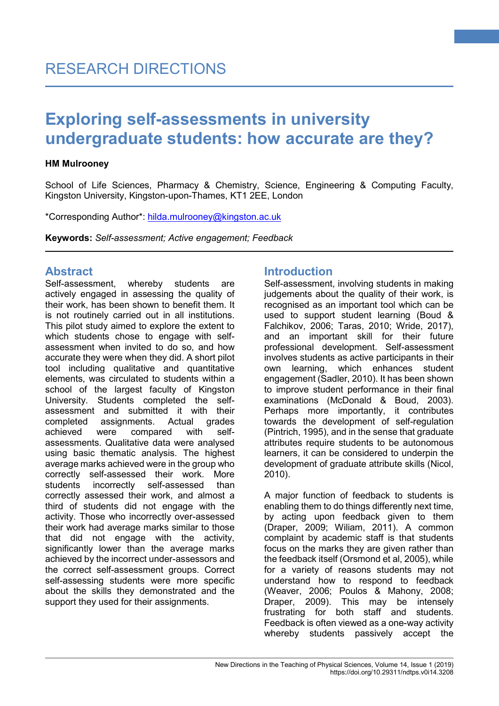#### **HM Mulrooney**

School of Life Sciences, Pharmacy & Chemistry, Science, Engineering & Computing Faculty, Kingston University, Kingston-upon-Thames, KT1 2EE, London

\*Corresponding Author\*: [hilda.mulrooney@kingston.ac.uk](mailto:hilda.mulrooney@kingston.ac.uk)

**Keywords:** *Self-assessment; Active engagement; Feedback*

### **Abstract**

Self-assessment, whereby students are actively engaged in assessing the quality of their work, has been shown to benefit them. It is not routinely carried out in all institutions. This pilot study aimed to explore the extent to which students chose to engage with selfassessment when invited to do so, and how accurate they were when they did. A short pilot tool including qualitative and quantitative elements, was circulated to students within a school of the largest faculty of Kingston University. Students completed the selfassessment and submitted it with their completed assignments. Actual grades achieved were compared with selfassessments. Qualitative data were analysed using basic thematic analysis. The highest average marks achieved were in the group who correctly self-assessed their work. More students incorrectly self-assessed than correctly assessed their work, and almost a third of students did not engage with the activity. Those who incorrectly over-assessed their work had average marks similar to those that did not engage with the activity, significantly lower than the average marks achieved by the incorrect under-assessors and the correct self-assessment groups. Correct self-assessing students were more specific about the skills they demonstrated and the support they used for their assignments.

# **Introduction**

Self-assessment, involving students in making judgements about the quality of their work, is recognised as an important tool which can be used to support student learning (Boud & Falchikov, 2006; Taras, 2010; Wride, 2017), and an important skill for their future professional development. Self-assessment involves students as active participants in their own learning, which enhances student engagement (Sadler, 2010). It has been shown to improve student performance in their final examinations (McDonald & Boud, 2003). Perhaps more importantly, it contributes towards the development of self-regulation (Pintrich, 1995), and in the sense that graduate attributes require students to be autonomous learners, it can be considered to underpin the development of graduate attribute skills (Nicol, 2010).

**1**

A major function of feedback to students is enabling them to do things differently next time, by acting upon feedback given to them (Draper, 2009; Wiliam, 2011). A common complaint by academic staff is that students focus on the marks they are given rather than the feedback itself (Orsmond et al, 2005), while for a variety of reasons students may not understand how to respond to feedback (Weaver, 2006; Poulos & Mahony, 2008; Draper, 2009). This may be intensely frustrating for both staff and students. Feedback is often viewed as a one-way activity whereby students passively accept the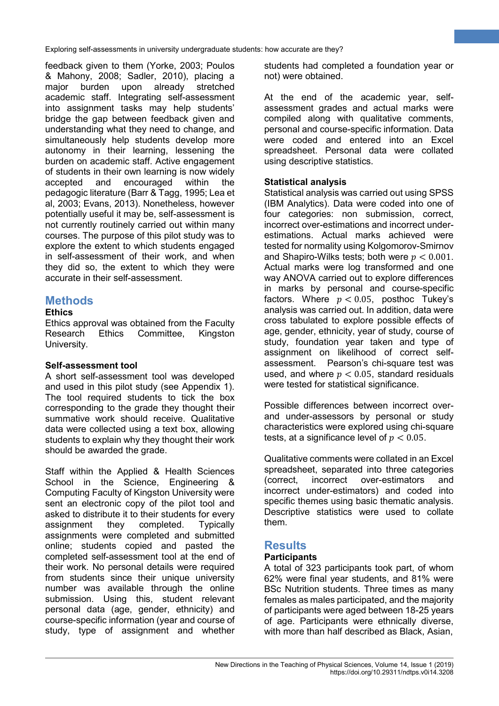feedback given to them (Yorke, 2003; Poulos & Mahony, 2008; Sadler, 2010), placing a major burden upon already stretched academic staff. Integrating self-assessment into assignment tasks may help students' bridge the gap between feedback given and understanding what they need to change, and simultaneously help students develop more autonomy in their learning, lessening the burden on academic staff. Active engagement of students in their own learning is now widely accepted and encouraged within the pedagogic literature (Barr & Tagg, 1995; Lea et al, 2003; Evans, 2013). Nonetheless, however potentially useful it may be, self-assessment is not currently routinely carried out within many courses. The purpose of this pilot study was to explore the extent to which students engaged in self-assessment of their work, and when they did so, the extent to which they were accurate in their self-assessment.

# **Methods**

### **Ethics**

Ethics approval was obtained from the Faculty Research Ethics Committee, Kingston University.

### **Self-assessment tool**

A short self-assessment tool was developed and used in this pilot study (see Appendix 1). The tool required students to tick the box corresponding to the grade they thought their summative work should receive. Qualitative data were collected using a text box, allowing students to explain why they thought their work should be awarded the grade.

Staff within the Applied & Health Sciences School in the Science, Engineering & Computing Faculty of Kingston University were sent an electronic copy of the pilot tool and asked to distribute it to their students for every assignment they completed. Typically assignments were completed and submitted online; students copied and pasted the completed self-assessment tool at the end of their work. No personal details were required from students since their unique university number was available through the online submission. Using this, student relevant personal data (age, gender, ethnicity) and course-specific information (year and course of study, type of assignment and whether students had completed a foundation year or not) were obtained.

**2**

At the end of the academic year, selfassessment grades and actual marks were compiled along with qualitative comments, personal and course-specific information. Data were coded and entered into an Excel spreadsheet. Personal data were collated using descriptive statistics.

### **Statistical analysis**

Statistical analysis was carried out using SPSS (IBM Analytics). Data were coded into one of four categories: non submission, correct, incorrect over-estimations and incorrect underestimations. Actual marks achieved were tested for normality using Kolgomorov-Smirnov and Shapiro-Wilks tests; both were  $p < 0.001$ . Actual marks were log transformed and one way ANOVA carried out to explore differences in marks by personal and course-specific factors. Where  $p < 0.05$ . posthoc Tukey's analysis was carried out. In addition, data were cross tabulated to explore possible effects of age, gender, ethnicity, year of study, course of study, foundation year taken and type of assignment on likelihood of correct selfassessment. Pearson's chi-square test was used, and where  $p < 0.05$ , standard residuals were tested for statistical significance.

Possible differences between incorrect overand under-assessors by personal or study characteristics were explored using chi-square tests, at a significance level of  $p < 0.05$ .

Qualitative comments were collated in an Excel spreadsheet, separated into three categories (correct, incorrect over-estimators and incorrect under-estimators) and coded into specific themes using basic thematic analysis. Descriptive statistics were used to collate them.

# **Results**

### **Participants**

A total of 323 participants took part, of whom 62% were final year students, and 81% were BSc Nutrition students. Three times as many females as males participated, and the majority of participants were aged between 18-25 years of age. Participants were ethnically diverse, with more than half described as Black, Asian,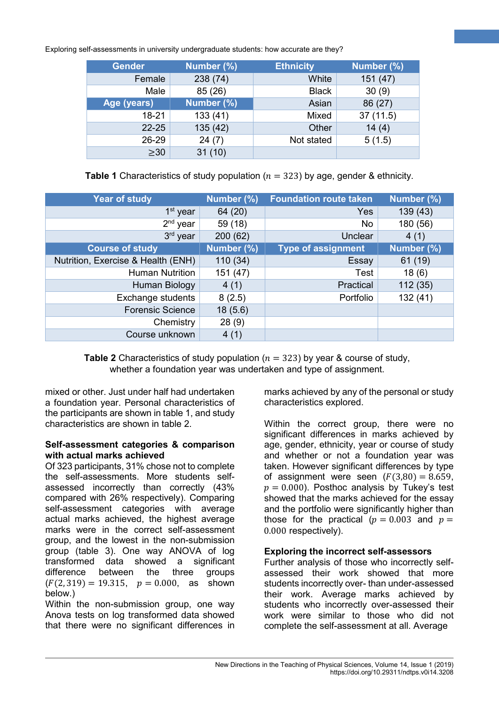| <b>Gender</b> | Number (%) | <b>Ethnicity</b> | Number (%) |
|---------------|------------|------------------|------------|
| Female        | 238 (74)   | White            | 151(47)    |
| Male          | 85 (26)    | <b>Black</b>     | 30(9)      |
| Age (years)   | Number (%) | Asian            | 86 (27)    |
| $18 - 21$     | 133(41)    | Mixed            | 37(11.5)   |
| $22 - 25$     | 135(42)    | Other            | 14(4)      |
| 26-29         | 24(7)      | Not stated       | 5(1.5)     |
| $\geq 30$     | 31(10)     |                  |            |

**Table 1** Characteristics of study population ( $n = 323$ ) by age, gender & ethnicity.

| <b>Year of study</b>               | Number (%) | <b>Foundation route taken</b> | Number (%) |
|------------------------------------|------------|-------------------------------|------------|
| 1 <sup>st</sup> year               | 64 (20)    | Yes                           | 139 (43)   |
| 2 <sup>nd</sup><br>year            | 59 (18)    | No                            | 180 (56)   |
| 3 <sup>rd</sup><br>year            | 200(62)    | Unclear                       | 4(1)       |
| <b>Course of study</b>             | Number (%) | <b>Type of assignment</b>     | Number (%) |
| Nutrition, Exercise & Health (ENH) | 110 (34)   | Essay                         | 61 (19)    |
| <b>Human Nutrition</b>             | 151 (47)   | Test                          | 18(6)      |
| Human Biology                      | 4(1)       | Practical                     | 112 (35)   |
| Exchange students                  | 8(2.5)     | Portfolio                     | 132(41)    |
| <b>Forensic Science</b>            | 18(5.6)    |                               |            |
| Chemistry                          | 28(9)      |                               |            |
| Course unknown                     | 4(1)       |                               |            |

**Table 2** Characteristics of study population ( $n = 323$ ) by year & course of study, whether a foundation year was undertaken and type of assignment.

mixed or other. Just under half had undertaken a foundation year. Personal characteristics of the participants are shown in table 1, and study characteristics are shown in table 2.

#### **Self-assessment categories & comparison with actual marks achieved**

Of 323 participants, 31% chose not to complete the self-assessments. More students selfassessed incorrectly than correctly (43% compared with 26% respectively). Comparing self-assessment categories with average actual marks achieved, the highest average marks were in the correct self-assessment group, and the lowest in the non-submission group (table 3). One way ANOVA of log transformed data showed a significant difference between the three groups  $(F(2, 319) = 19.315, p = 0.000,$  as shown below.)

Within the non-submission group, one way Anova tests on log transformed data showed that there were no significant differences in marks achieved by any of the personal or study characteristics explored.

**3**

Within the correct group, there were no significant differences in marks achieved by age, gender, ethnicity, year or course of study and whether or not a foundation year was taken. However significant differences by type of assignment were seen  $(F(3,80) = 8.659)$ ,  $p = 0.000$ ). Posthoc analysis by Tukey's test showed that the marks achieved for the essay and the portfolio were significantly higher than those for the practical ( $p = 0.003$  and  $p =$ 0.000 respectively).

### **Exploring the incorrect self-assessors**

Further analysis of those who incorrectly selfassessed their work showed that more students incorrectly over- than under-assessed their work. Average marks achieved by students who incorrectly over-assessed their work were similar to those who did not complete the self-assessment at all. Average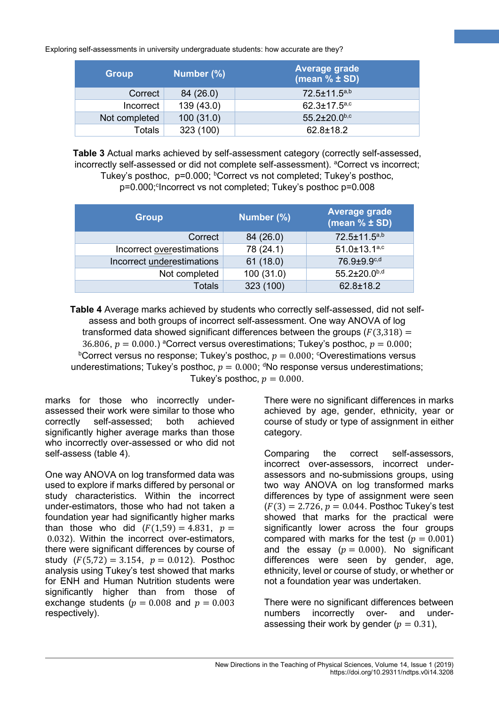| <b>Group</b>  | Number (%) | Average grade<br>(mean $% \pm SD$ ) |
|---------------|------------|-------------------------------------|
| Correct       | 84 (26.0)  | 72.5±11.5a,b                        |
| Incorrect     | 139 (43.0) | $62.3 \pm 17.5$ <sub>a,c</sub>      |
| Not completed | 100(31.0)  | $55.2 \pm 20.0$ <sub>b,c</sub>      |
| Totals        | 323 (100)  | $62.8 \pm 18.2$                     |

**Table 3** Actual marks achieved by self-assessment category (correctly self-assessed, incorrectly self-assessed or did not complete self-assessment). <sup>a</sup>Correct vs incorrect; Tukey's posthoc, p=0.000; <sup>b</sup>Correct vs not completed; Tukey's posthoc, p=0.000; <sup>c</sup>Incorrect vs not completed; Tukey's posthoc p=0.008

| <b>Group</b>               | Number (%) | <b>Average grade</b><br>(mean $% \pm SD$ ) |
|----------------------------|------------|--------------------------------------------|
| Correct                    | 84 (26.0)  | 72.5±11.5a,b                               |
| Incorrect overestimations  | 78 (24.1)  | 51.0±13.1a,c                               |
| Incorrect underestimations | 61(18.0)   | 76.9±9.9 <sup>c,d</sup>                    |
| Not completed              | 100(31.0)  | 55.2±20.0b,d                               |
| Totals                     | 323 (100)  | 62.8±18.2                                  |

**Table 4** Average marks achieved by students who correctly self-assessed, did not selfassess and both groups of incorrect self-assessment. One way ANOVA of log transformed data showed significant differences between the groups ( $F(3,318) =$ 36.806,  $p = 0.000$ .) <sup>a</sup>Correct versus overestimations; Tukey's posthoc,  $p = 0.000$ ;  $^{\rm b}$ Correct versus no response; Tukey's posthoc,  $p=0.000;$   $^{\rm c}$ Overestimations versus underestimations; Tukey's posthoc,  $p=0.000; \, \mathrm{^d}$ No response versus underestimations; Tukey's posthoc,  $p = 0.000$ .

marks for those who incorrectly underassessed their work were similar to those who correctly self-assessed; both achieved significantly higher average marks than those who incorrectly over-assessed or who did not self-assess (table 4).

One way ANOVA on log transformed data was used to explore if marks differed by personal or study characteristics. Within the incorrect under-estimators, those who had not taken a foundation year had significantly higher marks than those who did  $(F(1,59) = 4.831, p =$ 0.032). Within the incorrect over-estimators, there were significant differences by course of study  $(F(5,72) = 3.154, p = 0.012)$ . Posthoc analysis using Tukey's test showed that marks for ENH and Human Nutrition students were significantly higher than from those of exchange students ( $p = 0.008$  and  $p = 0.003$ respectively).

There were no significant differences in marks achieved by age, gender, ethnicity, year or course of study or type of assignment in either category.

**4**

Comparing the correct self-assessors, incorrect over-assessors, incorrect underassessors and no-submissions groups, using two way ANOVA on log transformed marks differences by type of assignment were seen  $(F(3) = 2.726, p = 0.044$ . Posthoc Tukey's test showed that marks for the practical were significantly lower across the four groups compared with marks for the test ( $p = 0.001$ ) and the essay ( $p = 0.000$ ). No significant differences were seen by gender, age, ethnicity, level or course of study, or whether or not a foundation year was undertaken.

There were no significant differences between numbers incorrectly over- and underassessing their work by gender ( $p = 0.31$ ),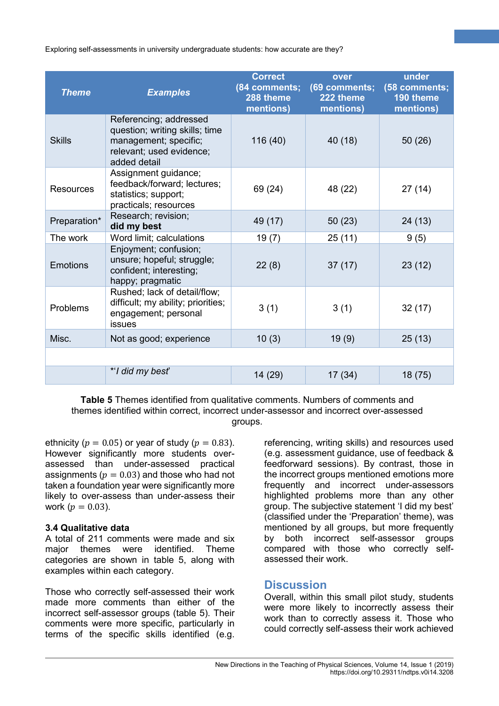| <b>Theme</b>     | <b>Examples</b>                                                                                                               | <b>Correct</b><br>(84 comments;<br>288 theme<br>mentions) | over<br>(69 comments;<br>222 theme<br>mentions) | under<br>(58 comments;<br>190 theme<br>mentions) |
|------------------|-------------------------------------------------------------------------------------------------------------------------------|-----------------------------------------------------------|-------------------------------------------------|--------------------------------------------------|
| <b>Skills</b>    | Referencing; addressed<br>question; writing skills; time<br>management; specific;<br>relevant; used evidence;<br>added detail | 116 (40)                                                  | 40(18)                                          | 50(26)                                           |
| <b>Resources</b> | Assignment guidance;<br>feedback/forward; lectures;<br>statistics; support;<br>practicals; resources                          | 69 (24)                                                   | 48 (22)                                         | 27(14)                                           |
| Preparation*     | Research; revision;<br>did my best                                                                                            | 49 (17)                                                   | 50(23)                                          | 24 (13)                                          |
| The work         | Word limit; calculations                                                                                                      | 19(7)                                                     | 25(11)                                          | 9(5)                                             |
| <b>Emotions</b>  | Enjoyment; confusion;<br>unsure; hopeful; struggle;<br>confident; interesting;<br>happy; pragmatic                            | 22(8)                                                     | 37(17)                                          | 23(12)                                           |
| Problems         | Rushed; lack of detail/flow;<br>difficult; my ability; priorities;<br>engagement; personal<br>issues                          | 3(1)                                                      | 3(1)                                            | 32(17)                                           |
| Misc.            | Not as good; experience                                                                                                       | 10(3)                                                     | 19(9)                                           | 25(13)                                           |
|                  |                                                                                                                               |                                                           |                                                 |                                                  |
|                  | *'I did my best'                                                                                                              | 14 (29)                                                   | 17(34)                                          | 18(75)                                           |

**Table 5** Themes identified from qualitative comments. Numbers of comments and themes identified within correct, incorrect under-assessor and incorrect over-assessed groups.

ethnicity ( $p = 0.05$ ) or year of study ( $p = 0.83$ ). However significantly more students overassessed than under-assessed practical assignments ( $p = 0.03$ ) and those who had not taken a foundation year were significantly more likely to over-assess than under-assess their work ( $p = 0.03$ ).

#### **3.4 Qualitative data**

A total of 211 comments were made and six major themes were identified. Theme categories are shown in table 5, along with examples within each category.

Those who correctly self-assessed their work made more comments than either of the incorrect self-assessor groups (table 5). Their comments were more specific, particularly in terms of the specific skills identified (e.g.

referencing, writing skills) and resources used (e.g. assessment guidance, use of feedback & feedforward sessions). By contrast, those in the incorrect groups mentioned emotions more frequently and incorrect under-assessors highlighted problems more than any other group. The subjective statement 'I did my best' (classified under the 'Preparation' theme), was mentioned by all groups, but more frequently by both incorrect self-assessor groups compared with those who correctly selfassessed their work.

**5**

### **Discussion**

Overall, within this small pilot study, students were more likely to incorrectly assess their work than to correctly assess it. Those who could correctly self-assess their work achieved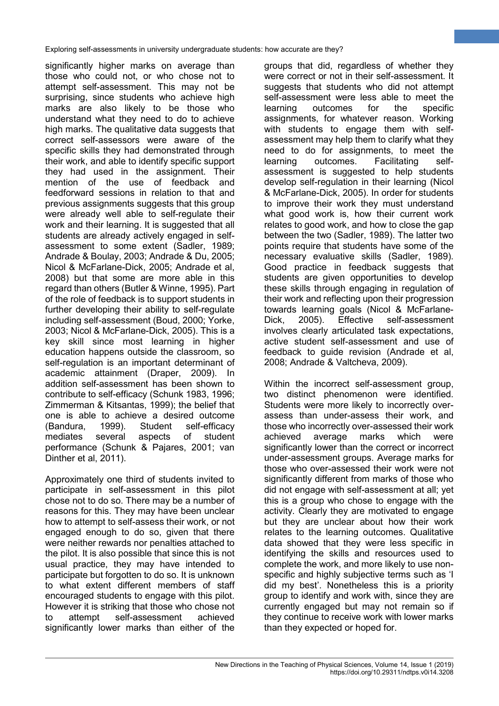significantly higher marks on average than those who could not, or who chose not to attempt self-assessment. This may not be surprising, since students who achieve high marks are also likely to be those who understand what they need to do to achieve high marks. The qualitative data suggests that correct self-assessors were aware of the specific skills they had demonstrated through their work, and able to identify specific support they had used in the assignment. Their mention of the use of feedback and feedforward sessions in relation to that and previous assignments suggests that this group were already well able to self-regulate their work and their learning. It is suggested that all students are already actively engaged in selfassessment to some extent (Sadler, 1989; Andrade & Boulay, 2003; Andrade & Du, 2005; Nicol & McFarlane-Dick, 2005; Andrade et al, 2008) but that some are more able in this regard than others (Butler & Winne, 1995). Part of the role of feedback is to support students in further developing their ability to self-regulate including self-assessment (Boud, 2000; Yorke, 2003; Nicol & McFarlane-Dick, 2005). This is a key skill since most learning in higher education happens outside the classroom, so self-regulation is an important determinant of academic attainment (Draper, 2009). In addition self-assessment has been shown to contribute to self-efficacy (Schunk 1983, 1996; Zimmerman & Kitsantas, 1999); the belief that one is able to achieve a desired outcome (Bandura, 1999). Student self-efficacy mediates several aspects of student performance (Schunk & Pajares, 2001; van Dinther et al, 2011).

Approximately one third of students invited to participate in self-assessment in this pilot chose not to do so. There may be a number of reasons for this. They may have been unclear how to attempt to self-assess their work, or not engaged enough to do so, given that there were neither rewards nor penalties attached to the pilot. It is also possible that since this is not usual practice, they may have intended to participate but forgotten to do so. It is unknown to what extent different members of staff encouraged students to engage with this pilot. However it is striking that those who chose not to attempt self-assessment achieved significantly lower marks than either of the

groups that did, regardless of whether they were correct or not in their self-assessment. It suggests that students who did not attempt self-assessment were less able to meet the learning outcomes for the specific assignments, for whatever reason. Working with students to engage them with selfassessment may help them to clarify what they need to do for assignments, to meet the learning outcomes. Facilitating selfassessment is suggested to help students develop self-regulation in their learning (Nicol & McFarlane-Dick, 2005). In order for students to improve their work they must understand what good work is, how their current work relates to good work, and how to close the gap between the two (Sadler, 1989). The latter two points require that students have some of the necessary evaluative skills (Sadler, 1989). Good practice in feedback suggests that students are given opportunities to develop these skills through engaging in regulation of their work and reflecting upon their progression towards learning goals (Nicol & McFarlane-Dick, 2005). Effective self-assessment involves clearly articulated task expectations, active student self-assessment and use of feedback to guide revision (Andrade et al, 2008; Andrade & Valtcheva, 2009).

**6**

Within the incorrect self-assessment group. two distinct phenomenon were identified. Students were more likely to incorrectly overassess than under-assess their work, and those who incorrectly over-assessed their work achieved average marks which were significantly lower than the correct or incorrect under-assessment groups. Average marks for those who over-assessed their work were not significantly different from marks of those who did not engage with self-assessment at all; yet this is a group who chose to engage with the activity. Clearly they are motivated to engage but they are unclear about how their work relates to the learning outcomes. Qualitative data showed that they were less specific in identifying the skills and resources used to complete the work, and more likely to use nonspecific and highly subjective terms such as 'I did my best'. Nonetheless this is a priority group to identify and work with, since they are currently engaged but may not remain so if they continue to receive work with lower marks than they expected or hoped for.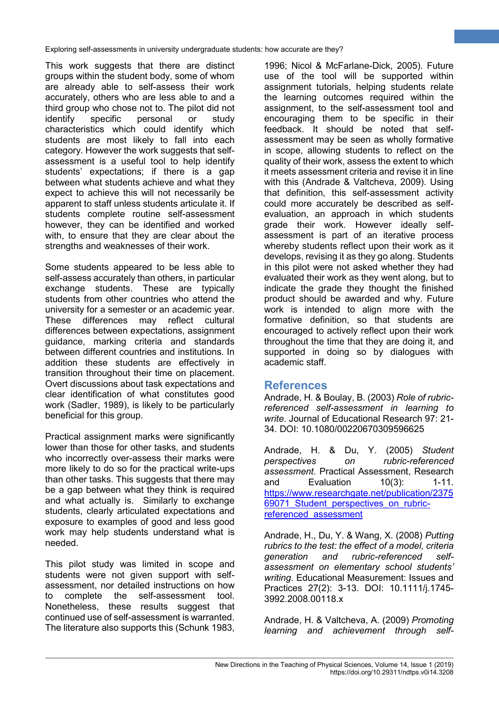This work suggests that there are distinct groups within the student body, some of whom are already able to self-assess their work accurately, others who are less able to and a third group who chose not to. The pilot did not identify specific personal or study characteristics which could identify which students are most likely to fall into each category. However the work suggests that selfassessment is a useful tool to help identify students' expectations; if there is a gap between what students achieve and what they expect to achieve this will not necessarily be apparent to staff unless students articulate it. If students complete routine self-assessment however, they can be identified and worked with, to ensure that they are clear about the strengths and weaknesses of their work.

Some students appeared to be less able to self-assess accurately than others, in particular exchange students. These are typically students from other countries who attend the university for a semester or an academic year. These differences may reflect cultural differences between expectations, assignment guidance, marking criteria and standards between different countries and institutions. In addition these students are effectively in transition throughout their time on placement. Overt discussions about task expectations and clear identification of what constitutes good work (Sadler, 1989), is likely to be particularly beneficial for this group.

Practical assignment marks were significantly lower than those for other tasks, and students who incorrectly over-assess their marks were more likely to do so for the practical write-ups than other tasks. This suggests that there may be a gap between what they think is required and what actually is. Similarly to exchange students, clearly articulated expectations and exposure to examples of good and less good work may help students understand what is needed.

This pilot study was limited in scope and students were not given support with selfassessment, nor detailed instructions on how to complete the self-assessment tool. Nonetheless, these results suggest that continued use of self-assessment is warranted. The literature also supports this (Schunk 1983,

1996; Nicol & McFarlane-Dick, 2005). Future use of the tool will be supported within assignment tutorials, helping students relate the learning outcomes required within the assignment, to the self-assessment tool and encouraging them to be specific in their feedback. It should be noted that selfassessment may be seen as wholly formative in scope, allowing students to reflect on the quality of their work, assess the extent to which it meets assessment criteria and revise it in line with this (Andrade & Valtcheva, 2009). Using that definition, this self-assessment activity could more accurately be described as selfevaluation, an approach in which students grade their work. However ideally selfassessment is part of an iterative process whereby students reflect upon their work as it develops, revising it as they go along. Students in this pilot were not asked whether they had evaluated their work as they went along, but to indicate the grade they thought the finished product should be awarded and why. Future work is intended to align more with the formative definition, so that students are encouraged to actively reflect upon their work throughout the time that they are doing it, and supported in doing so by dialogues with academic staff.

**7**

### **References**

Andrade, H. & Boulay, B. (2003) *Role of rubricreferenced self-assessment in learning to write*. Journal of Educational Research 97: 21- 34. DOI: 10.1080/00220670309596625

Andrade, H. & Du, Y. (2005) *Student perspectives on rubric-referenced assessment*. Practical Assessment, Research and Evaluation 10(3): 1-11. [https://www.researchgate.net/publication/2375](https://www.researchgate.net/publication/237569071_Student_perspectives_on_rubric-referenced_assessment) 69071 Student perspectives on rubric[referenced\\_assessment](https://www.researchgate.net/publication/237569071_Student_perspectives_on_rubric-referenced_assessment)

Andrade, H., Du, Y. & Wang, X. (2008) *Putting rubrics to the test: the effect of a model, criteria generation and rubric-referenced selfassessment on elementary school students' writing*. Educational Measurement: Issues and Practices 27(2): 3-13. DOI: 10.1111/j.1745- 3992.2008.00118.x

Andrade, H. & Valtcheva, A. (2009) *Promoting learning and achievement through self-*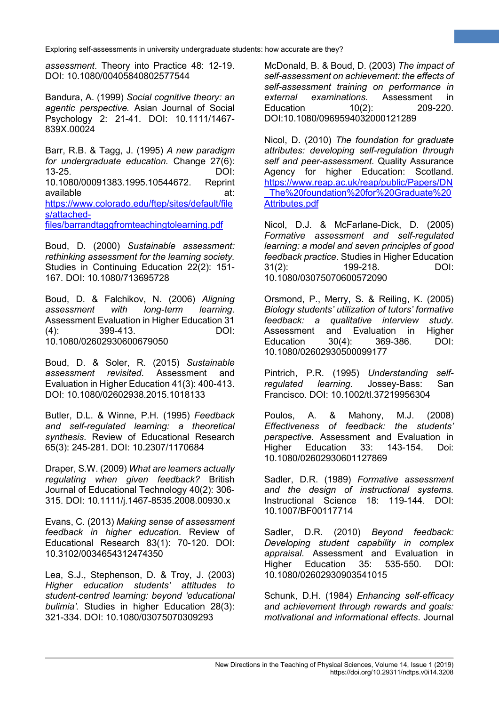*assessment*. Theory into Practice 48: 12-19. DOI: 10.1080/00405840802577544

Bandura, A. (1999) *Social cognitive theory: an agentic perspective.* Asian Journal of Social Psychology 2: 21-41. DOI: 10.1111/1467- 839X.00024

Barr, R.B. & Tagg, J. (1995) *A new paradigm for undergraduate education.* Change 27(6): 13-25. DOI: 10.1080/00091383.1995.10544672. Reprint available at: at: [https://www.colorado.edu/ftep/sites/default/file](https://www.colorado.edu/ftep/sites/default/files/attached-files/barrandtaggfromteachingtolearning.pdf) [s/attached](https://www.colorado.edu/ftep/sites/default/files/attached-files/barrandtaggfromteachingtolearning.pdf)[files/barrandtaggfromteachingtolearning.pdf](https://www.colorado.edu/ftep/sites/default/files/attached-files/barrandtaggfromteachingtolearning.pdf)

Boud, D. (2000) *Sustainable assessment: rethinking assessment for the learning society.* Studies in Continuing Education 22(2): 151- 167. DOI: 10.1080/713695728

Boud, D. & Falchikov, N. (2006) *Aligning assessment with long-term learning*. Assessment Evaluation in Higher Education 31 (4): 399-413. DOI: 10.1080/02602930600679050

Boud, D. & Soler, R. (2015) *Sustainable assessment revisited*. Assessment and Evaluation in Higher Education 41(3): 400-413. DOI: 10.1080/02602938.2015.1018133

Butler, D.L. & Winne, P.H. (1995) *Feedback and self-regulated learning: a theoretical synthesis*. Review of Educational Research 65(3): 245-281. DOI: 10.2307/1170684

Draper, S.W. (2009) *What are learners actually regulating when given feedback?* British Journal of Educational Technology 40(2): 306- 315. DOI: 10.1111/j.1467-8535.2008.00930.x

Evans, C. (2013) *Making sense of assessment feedback in higher education*. Review of Educational Research 83(1): 70-120. DOI: 10.3102/0034654312474350

Lea, S.J., Stephenson, D. & Troy, J. (2003) *Higher education students' attitudes to student-centred learning: beyond 'educational bulimia'.* Studies in higher Education 28(3): 321-334. DOI: 10.1080/03075070309293

McDonald, B. & Boud, D. (2003) *The impact of self-assessment on achievement: the effects of self-assessment training on performance in external examinations.* Assessment in Education 10(2): 209-220. DOI:10.1080/0969594032000121289

**8**

Nicol, D. (2010) *The foundation for graduate attributes: developing self-regulation through self and peer-assessment.* Quality Assurance Agency for higher Education: Scotland. [https://www.reap.ac.uk/reap/public/Papers/DN](https://www.reap.ac.uk/reap/public/Papers/DN_The%20foundation%20for%20Graduate%20Attributes.pdf) [\\_The%20foundation%20for%20Graduate%20](https://www.reap.ac.uk/reap/public/Papers/DN_The%20foundation%20for%20Graduate%20Attributes.pdf) [Attributes.pdf](https://www.reap.ac.uk/reap/public/Papers/DN_The%20foundation%20for%20Graduate%20Attributes.pdf)

Nicol, D.J. & McFarlane-Dick, D. (2005) *Formative assessment and self-regulated learning: a model and seven principles of good feedback practice*. Studies in Higher Education 31(2): 199-218. DOI: 10.1080/03075070600572090

Orsmond, P., Merry, S. & Reiling, K. (2005) *Biology students' utilization of tutors' formative feedback: a qualitative interview study.*  Assessment and Evaluation in Higher Education 30(4): 369-386. DOI: 10.1080/02602930500099177

Pintrich, P.R. (1995) *Understanding selfregulated learning.* Jossey-Bass: San Francisco. DOI: 10.1002/tl.37219956304

Poulos, A. & Mahony, M.J. (2008) *Effectiveness of feedback: the students' perspective*. Assessment and Evaluation in Higher Education 33: 143-154. Doi: 10.1080/02602930601127869

Sadler, D.R. (1989) *Formative assessment and the design of instructional systems.*  Instructional Science 18: 119-144. DOI: 10.1007/BF00117714

Sadler, D.R. (2010) *Beyond feedback: Developing student capability in complex appraisal*. Assessment and Evaluation in 535-550. DOI: 10.1080/02602930903541015

Schunk, D.H. (1984) *Enhancing self-efficacy and achievement through rewards and goals: motivational and informational effects*. Journal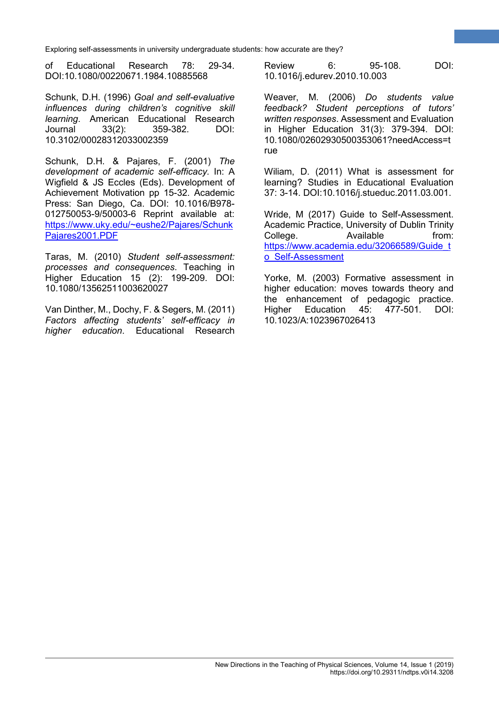of Educational Research 78: 29-34. DOI:10.1080/00220671.1984.10885568

Schunk, D.H. (1996) *Goal and self-evaluative influences during children's cognitive skill learning*. American Educational Research Journal 33(2): 359-382. DOI: 10.3102/00028312033002359

Schunk, D.H. & Pajares, F. (2001) *The development of academic self-efficacy.* In: A Wigfield & JS Eccles (Eds). Development of Achievement Motivation pp 15-32. Academic Press: San Diego, Ca. DOI: 10.1016/B978- 012750053-9/50003-6 Reprint available at: [https://www.uky.edu/~eushe2/Pajares/Schunk](https://www.uky.edu/%7Eeushe2/Pajares/SchunkPajares2001.PDF) [Pajares2001.PDF](https://www.uky.edu/%7Eeushe2/Pajares/SchunkPajares2001.PDF)

Taras, M. (2010) *Student self-assessment: processes and consequences*. Teaching in Higher Education 15 (2): 199-209. DOI: 10.1080/13562511003620027

Van Dinther, M., Dochy, F. & Segers, M. (2011) *Factors affecting students' self-efficacy in higher education*. Educational Research

Review 6: 95-108. DOI: 10.1016/j.edurev.2010.10.003

**9**

Weaver, M. (2006) *Do students value feedback? Student perceptions of tutors' written responses*. Assessment and Evaluation in Higher Education 31(3): 379-394. DOI: 10.1080/02602930500353061?needAccess=t rue

Wiliam, D. (2011) What is assessment for learning? Studies in Educational Evaluation 37: 3-14. DOI:10.1016/j.stueduc.2011.03.001.

Wride, M (2017) Guide to Self-Assessment. Academic Practice, University of Dublin Trinity College. Available from: [https://www.academia.edu/32066589/Guide\\_t](https://www.academia.edu/32066589/Guide_to_Self-Assessment) [o\\_Self-Assessment](https://www.academia.edu/32066589/Guide_to_Self-Assessment)

Yorke, M. (2003) Formative assessment in higher education: moves towards theory and the enhancement of pedagogic practice.<br>Higher Education 45: 477-501. DOI: Higher Education 45: 477-501. DOI: 10.1023/A:1023967026413